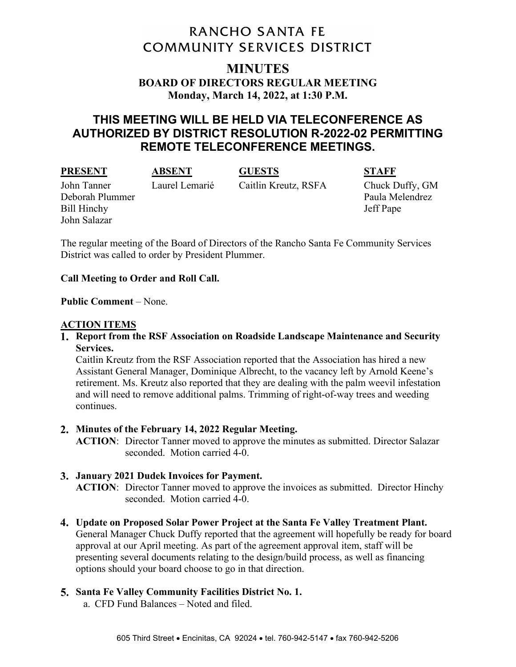# **RANCHO SANTA FE COMMUNITY SERVICES DISTRICT**

# **MINUTES BOARD OF DIRECTORS REGULAR MEETING Monday, March 14, 2022, at 1:30 P.M.**

# **THIS MEETING WILL BE HELD VIA TELECONFERENCE AS AUTHORIZED BY DISTRICT RESOLUTION R-2022-02 PERMITTING REMOTE TELECONFERENCE MEETINGS.**

**PRESENT ABSENT GUESTS STAFF**

# Deborah Plummer Paula Melendrez Bill Hinchy Jeff Pape John Salazar

John Tanner Laurel Lemarié Caitlin Kreutz, RSFA Chuck Duffy, GM

The regular meeting of the Board of Directors of the Rancho Santa Fe Community Services District was called to order by President Plummer.

# **Call Meeting to Order and Roll Call.**

## **Public Comment** – None.

# **ACTION ITEMS**

**Report from the RSF Association on Roadside Landscape Maintenance and Security Services.**

Caitlin Kreutz from the RSF Association reported that the Association has hired a new Assistant General Manager, Dominique Albrecht, to the vacancy left by Arnold Keene's retirement. Ms. Kreutz also reported that they are dealing with the palm weevil infestation and will need to remove additional palms. Trimming of right-of-way trees and weeding continues.

# **Minutes of the February 14, 2022 Regular Meeting.**

**ACTION**: Director Tanner moved to approve the minutes as submitted. Director Salazar seconded. Motion carried 4-0.

# **January 2021 Dudek Invoices for Payment.**

**ACTION**: Director Tanner moved to approve the invoices as submitted. Director Hinchy seconded. Motion carried 4-0.

**Update on Proposed Solar Power Project at the Santa Fe Valley Treatment Plant.** General Manager Chuck Duffy reported that the agreement will hopefully be ready for board approval at our April meeting. As part of the agreement approval item, staff will be presenting several documents relating to the design/build process, as well as financing options should your board choose to go in that direction.

# **Santa Fe Valley Community Facilities District No. 1.**

a. CFD Fund Balances – Noted and filed.